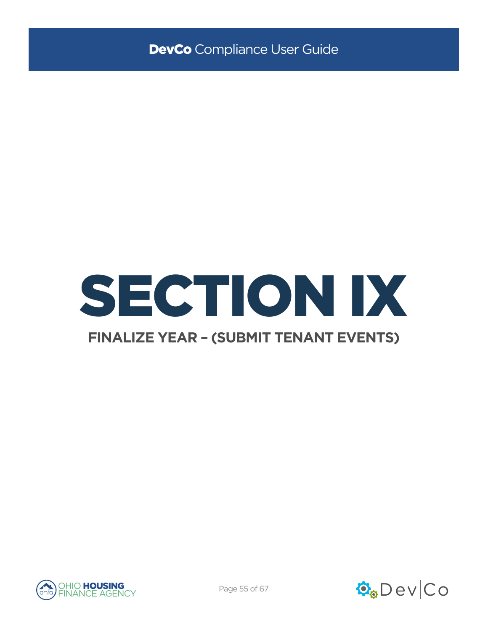

# **FINALIZE YEAR - (SUBMIT TENANT EVENTS)**



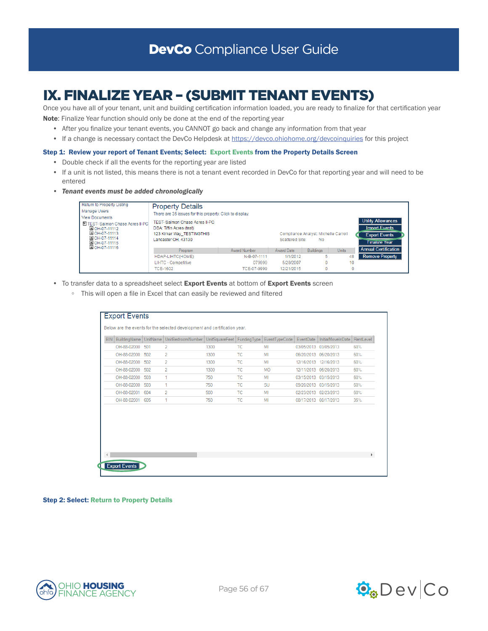# IX. FINALIZE YEAR – (SUBMIT TENANT EVENTS)

Once you have all of your tenant, unit and building certification information loaded, you are ready to finalize for that certification year Note: Finalize Year function should only be done at the end of the reporting year

- After you finalize your tenant events, you CANNOT go back and change any information from that year
- If a change is necessary contact the DevCo Helpdesk at <https://devco.ohiohome.org/devcoinquiries>for this project

### Step 1: Review your report of Tenant Events; Select: Export Events from the Property Details Screen

- Double check if all the events for the reporting year are listed
- If a unit is not listed, this means there is not a tenant event recorded in DevCo for that reporting year and will need to be entered
- *• Tenant events must be added chronologically*



- To transfer data to a spreadsheet select Export Events at bottom of Export Events screen
	- This will open a file in Excel that can easily be reviewed and filtered

| <b>BIN</b> | BuildingName |     | UnitName   UnitBedroomNumber   UnitSquareFeet   FundingType   EventTypeCode |      |           |           | EventDate             | InitialMoveInDate | RentLevel    |
|------------|--------------|-----|-----------------------------------------------------------------------------|------|-----------|-----------|-----------------------|-------------------|--------------|
|            | OH-88-02000  | 501 | 2                                                                           | 1300 | ТC        | MI        | 03/05/2013 03/05/2013 |                   | 60%          |
|            | OH-88-02000  | 502 | 2                                                                           | 1300 | <b>TC</b> | MI        | 06/20/2013            | 06/20/2013        | 60%          |
|            | OH-88-02000  | 502 | $\overline{2}$                                                              | 1300 | TC        | MI        | 12/16/2013 12/16/2013 |                   | 60%          |
|            | OH-88-02000  | 502 | $\overline{2}$                                                              | 1300 | <b>TC</b> | <b>MO</b> | 12/11/2013 06/20/2013 |                   | 60%          |
|            | OH-88-02000  | 503 | 1.                                                                          | 750  | TC.       | MI        | 03/15/2013 03/15/2013 |                   | 60%          |
|            | OH-88-02000  | 503 | 1                                                                           | 750  | <b>TC</b> | SU        | 09/20/2013 03/15/2013 |                   | 60%          |
|            | OH-88-02001  | 604 | $\overline{2}$                                                              | 500  | <b>TC</b> | MI        | 02/23/2013 02/23/2013 |                   | 60%          |
|            | OH-88-02001  | 605 | 1                                                                           | 750  | <b>TC</b> | MI        | 08/17/2013 08/17/2013 |                   | 35%          |
|            |              |     |                                                                             |      |           |           |                       |                   | $\mathbf{r}$ |

Step 2: Select: Return to Property Details



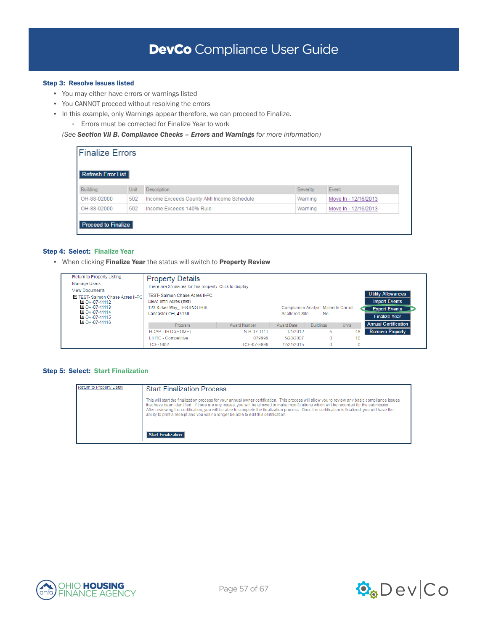## Step 3: Resolve issues listed

- You may either have errors or warnings listed
- You CANNOT proceed without resolving the errors
- In this example, only Warnings appear therefore, we can proceed to Finalize.
	- Errors must be corrected for Finalize Year to work

*(See Section VII B. Compliance Checks – Errors and Warnings for more information)*

| <b>Finalize Errors</b><br>Refresh Error List |      |                                           |          |                      |
|----------------------------------------------|------|-------------------------------------------|----------|----------------------|
| Building                                     | Unit | Description                               | Severity | Event                |
| OH-88-02000                                  | 502  | Income Exceeds County AMI Income Schedule | Warning  | Move In - 12/16/2013 |
| OH-88-02000                                  | 502  | Income Exceeds 140% Rule                  | Warning  | Move In - 12/16/2013 |
| Proceed to Finalize                          |      |                                           |          |                      |

## Step 4: Select: Finalize Year

• When clicking Finalize Year the status will switch to Property Review

| Return to Property Listing<br>Manage Users<br><b>Mew Documents</b><br>E TEST-Salmon Chase Acres II-PC<br>国 OH-07-11112<br>国 OH-07-11113<br>国 OH-07-11114<br>OH-07-11115 | <b>Property Details</b><br>There are 35 issues for this property. Click to display.<br>TEST- Salmon Chase Acres II-PC<br>DBA: Tiffin Acres (test)<br>123 Kirker Way TESTINGTHIS<br>Lancaster OH, 43130 |              | Scattered Site: | Compliance Analyst: Michelle Carroll<br><b>No</b> |              | <b>Utility Allowances</b><br><b>Import Events</b><br><b>Export Events</b><br><b>Finalize Year</b> |  |
|-------------------------------------------------------------------------------------------------------------------------------------------------------------------------|--------------------------------------------------------------------------------------------------------------------------------------------------------------------------------------------------------|--------------|-----------------|---------------------------------------------------|--------------|---------------------------------------------------------------------------------------------------|--|
| OH-07-11116                                                                                                                                                             | Program                                                                                                                                                                                                | Award Number | Award Date      | <b>Buildings</b>                                  | <b>Units</b> | <b>Annual Certification</b>                                                                       |  |
|                                                                                                                                                                         | HDAP-LIHTC(HOME)                                                                                                                                                                                       | N-B-07-1111  | 1/1/2012        | 5                                                 |              | <b>Remove Property</b><br>48                                                                      |  |
|                                                                                                                                                                         | <b>LIHTC - Competitive</b>                                                                                                                                                                             | 079999       | 5/28/2007       | 0                                                 |              | 10                                                                                                |  |
|                                                                                                                                                                         | TCF-1602                                                                                                                                                                                               | TCF-07-9999  | 12/21/2015      | $\Omega$                                          |              | $\Omega$                                                                                          |  |

## Step 5: Select: Start Finalization

| Return to Property Detail | <b>Start Finalization Process</b>                                                                                                                                                                                                                                                                                                                                                                                                                                                                                                        |
|---------------------------|------------------------------------------------------------------------------------------------------------------------------------------------------------------------------------------------------------------------------------------------------------------------------------------------------------------------------------------------------------------------------------------------------------------------------------------------------------------------------------------------------------------------------------------|
|                           | This will start the finalization process for your annual owner certification. This process will allow you to review any basic compliance issues<br>that have been identified. If there are any issues, you will be allowed to make modifications which will be recorded for the submission.<br>After reviewing the certification, you will be able to complete the finalization process. Once the certification is finalized, you will have the<br>ability to print a receipt and you will no longer be able to edit this certification. |
|                           | Start Finalization I                                                                                                                                                                                                                                                                                                                                                                                                                                                                                                                     |



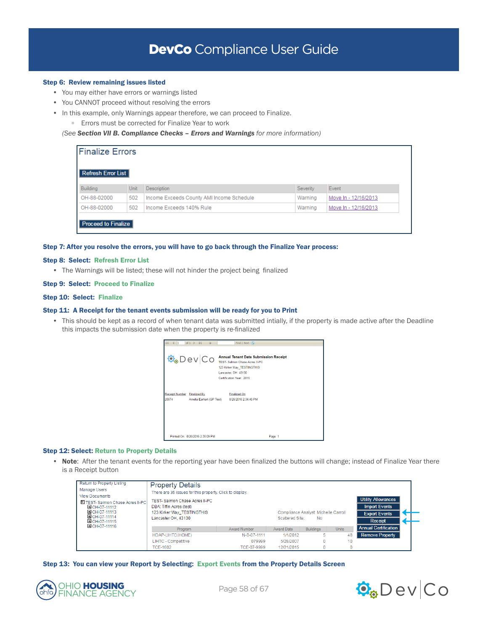## DevCo Compliance User Guide

#### Step 6: Review remaining issues listed

- You may either have errors or warnings listed
- You CANNOT proceed without resolving the errors
- In this example, only Warnings appear therefore, we can proceed to Finalize.
	- Errors must be corrected for Finalize Year to work

*(See Section VII B. Compliance Checks – Errors and Warnings for more information)*

| <b>Finalize Errors</b>     |      |                                           |          |                      |
|----------------------------|------|-------------------------------------------|----------|----------------------|
| Refresh Error List         |      |                                           |          |                      |
| Building                   | Unit | <b>Description</b>                        | Severity | Event                |
| OH-88-02000                | 502  | Income Exceeds County AMI Income Schedule | Warning  | Move In - 12/16/2013 |
| OH-88-02000                | 502  | Income Exceeds 140% Rule                  | Warning  | Move In - 12/16/2013 |
| <b>Proceed to Finalize</b> |      |                                           |          |                      |

## Step 7: After you resolve the errors, you will have to go back through the Finalize Year process:

#### Step 8: Select: Refresh Error List

• The Warnings will be listed; these will not hinder the project being finalized

### Step 9: Select: Proceed to Finalize

#### Step 10: Select: Finalize

#### Step 11: A Receipt for the tenant events submission will be ready for you to Print

• This should be kept as a record of when tenant data was submitted intially, if the property is made active after the Deadline this impacts the submission date when the property is re-finalized



### Step 12: Select: Return to Property Details

• Note: After the tenant events for the reporting year have been finalized the buttons will change; instead of Finalize Year there is a Receipt button

| Return to Property Listing<br>Manage Users                                                                                 | <b>Property Details</b><br>There are 35 issues for this property. Click to display.                                   |                                                               |            |                  |                                                                                      |                             |  |  |
|----------------------------------------------------------------------------------------------------------------------------|-----------------------------------------------------------------------------------------------------------------------|---------------------------------------------------------------|------------|------------------|--------------------------------------------------------------------------------------|-----------------------------|--|--|
| <b>View Documents</b><br>E TEST-Salmon Chase Acres II-PC<br>国 OH-07-11112<br>DOH-07-11113<br>国 OH-07-11114<br>MOH-07-11115 | <b>TEST-Salmon Chase Acres II-PC</b><br>DBA: Tiffin Acres (test)<br>123 Kirker Way TESTINGTHIS<br>Lancaster OH, 43130 | Compliance Analyst: Michelle Carroll<br>Scattered Site:<br>No |            |                  | <b>Utility Allowances</b><br><b>Import Events</b><br><b>Export Events</b><br>Receipt |                             |  |  |
| OH-07-11116                                                                                                                | Program                                                                                                               | Award Number                                                  | Award Date | <b>Buildings</b> | <b>Units</b>                                                                         | <b>Annual Certification</b> |  |  |
|                                                                                                                            | HDAP-LIHTC(HOME)                                                                                                      | N-B-07-1111                                                   | 1/1/2012   | 5                | 48                                                                                   | <b>Remove Property</b>      |  |  |
|                                                                                                                            | LIHTC - Competitive                                                                                                   | 079999                                                        | 5/28/2007  | $\Omega$         | 10                                                                                   |                             |  |  |
|                                                                                                                            | TCF-1602                                                                                                              | TCF-07-9999                                                   | 12/21/2015 | $\Omega$         |                                                                                      |                             |  |  |

Step 13: You can view your Report by Selecting: Export Events from the Property Details Screen